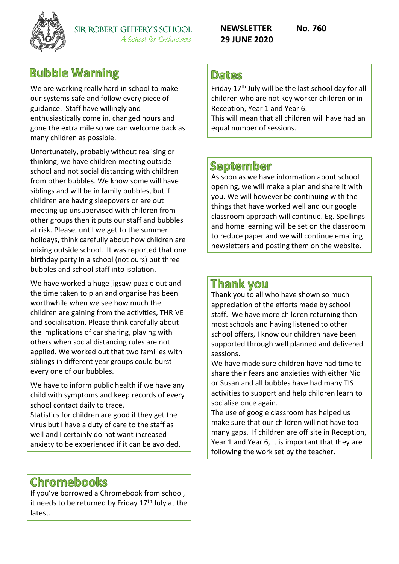

# **Bubble Warning**

We are working really hard in school to make our systems safe and follow every piece of guidance. Staff have willingly and enthusiastically come in, changed hours and gone the extra mile so we can welcome back as many children as possible.

Unfortunately, probably without realising or thinking, we have children meeting outside school and not social distancing with children from other bubbles. We know some will have siblings and will be in family bubbles, but if children are having sleepovers or are out meeting up unsupervised with children from other groups then it puts our staff and bubbles at risk. Please, until we get to the summer holidays, think carefully about how children are mixing outside school. It was reported that one birthday party in a school (not ours) put three bubbles and school staff into isolation.

We have worked a huge jigsaw puzzle out and the time taken to plan and organise has been worthwhile when we see how much the children are gaining from the activities, THRIVE and socialisation. Please think carefully about the implications of car sharing, playing with others when social distancing rules are not applied. We worked out that two families with siblings in different year groups could burst every one of our bubbles.

We have to inform public health if we have any child with symptoms and keep records of every school contact daily to trace.

Statistics for children are good if they get the virus but I have a duty of care to the staff as well and I certainly do not want increased anxiety to be experienced if it can be avoided.

## **Chromebooks**

If you've borrowed a Chromebook from school, it needs to be returned by Friday  $17<sup>th</sup>$  July at the latest.

**NEWSLETTER No. 760 29 JUNE 2020**

## **Dates**

Friday 17<sup>th</sup> July will be the last school day for all children who are not key worker children or in Reception, Year 1 and Year 6.

This will mean that all children will have had an equal number of sessions.

### **September**

As soon as we have information about school opening, we will make a plan and share it with you. We will however be continuing with the things that have worked well and our google classroom approach will continue. Eg. Spellings and home learning will be set on the classroom to reduce paper and we will continue emailing newsletters and posting them on the website.

## **Thank vou**

Thank you to all who have shown so much appreciation of the efforts made by school staff. We have more children returning than most schools and having listened to other school offers, I know our children have been supported through well planned and delivered sessions.

We have made sure children have had time to share their fears and anxieties with either Nic or Susan and all bubbles have had many TIS activities to support and help children learn to socialise once again.

The use of google classroom has helped us make sure that our children will not have too many gaps. If children are off site in Reception, Year 1 and Year 6, it is important that they are following the work set by the teacher.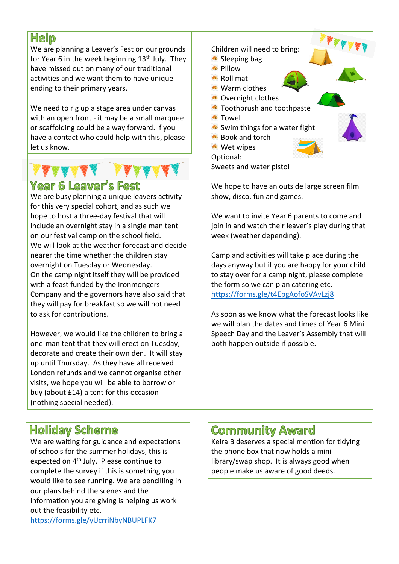# **Help**

We are planning a Leaver's Fest on our grounds for Year 6 in the week beginning 13<sup>th</sup> July. They have missed out on many of our traditional activities and we want them to have unique ending to their primary years.

We need to rig up a stage area under canvas with an open front - it may be a small marquee or scaffolding could be a way forward. If you have a contact who could help with this, please let us know.

# **Year 6 Leaver's Fest**

We are busy planning a unique leavers activity for this very special cohort, and as such we hope to host a three-day festival that will include an overnight stay in a single man tent on our festival camp on the school field. We will look at the weather forecast and decide nearer the time whether the children stay overnight on Tuesday or Wednesday. On the camp night itself they will be provided with a feast funded by the Ironmongers Company and the governors have also said that they will pay for breakfast so we will not need to ask for contributions.

However, we would like the children to bring a one-man tent that they will erect on Tuesday, decorate and create their own den. It will stay up until Thursday. As they have all received London refunds and we cannot organise other visits, we hope you will be able to borrow or buy (about £14) a tent for this occasion (nothing special needed).

#### Children will need to bring: Sleeping bag **A** Pillow Roll mat **Warm clothes Covernight clothes Toothbrush and toothpaste A** Towel Swim things for a water fight <sup>▲</sup> Book and torch **Wet wipes** Optional: Sweets and water pistol

We hope to have an outside large screen film show, disco, fun and games.

We want to invite Year 6 parents to come and join in and watch their leaver's play during that week (weather depending).

Camp and activities will take place during the days anyway but if you are happy for your child to stay over for a camp night, please complete the form so we can plan catering etc. <https://forms.gle/t4EpgAofoSVAvLzj8>

As soon as we know what the forecast looks like we will plan the dates and times of Year 6 Mini Speech Day and the Leaver's Assembly that will both happen outside if possible.

# **Holiday Scheme**

We are waiting for guidance and expectations of schools for the summer holidays, this is expected on 4<sup>th</sup> July. Please continue to complete the survey if this is something you would like to see running. We are pencilling in our plans behind the scenes and the information you are giving is helping us work out the feasibility etc. <https://forms.gle/yUcrriNbyNBUPLFK7>

# **Community Award**

Keira B deserves a special mention for tidying the phone box that now holds a mini library/swap shop. It is always good when people make us aware of good deeds.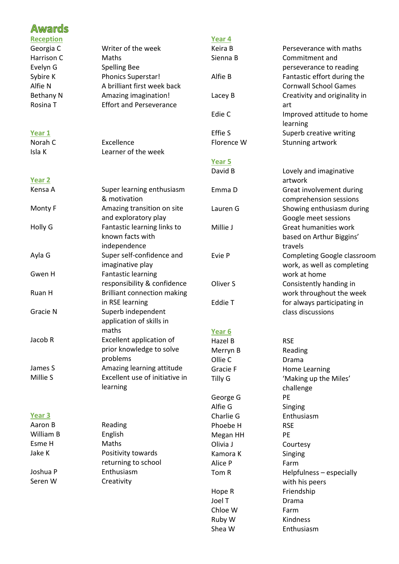| <b>Awards</b>    |                                                 |                   |                                     |
|------------------|-------------------------------------------------|-------------------|-------------------------------------|
| <b>Reception</b> |                                                 | Year 4            |                                     |
| Georgia C        | Writer of the week                              | Keira B           | Perseverance with maths             |
| Harrison C       | Maths                                           | Sienna B          | Commitment and                      |
| Evelyn G         | <b>Spelling Bee</b>                             |                   | perseverance to reading             |
| Sybire K         | <b>Phonics Superstar!</b>                       | Alfie B           | Fantastic effort during the         |
| Alfie N          | A brilliant first week back                     |                   | <b>Cornwall School Games</b>        |
| <b>Bethany N</b> | Amazing imagination!                            | Lacey B           | Creativity and originality in       |
| Rosina T         | <b>Effort and Perseverance</b>                  |                   | art                                 |
|                  |                                                 | Edie C            | Improved attitude to home           |
|                  |                                                 |                   | learning                            |
| Year 1           |                                                 | Effie S           | Superb creative writing             |
| Norah C          | Excellence                                      | Florence W        | Stunning artwork                    |
| Isla K           | Learner of the week                             |                   |                                     |
|                  |                                                 | Year 5            |                                     |
|                  |                                                 | David B           | Lovely and imaginative              |
| Year 2           |                                                 |                   | artwork                             |
| Kensa A          | Super learning enthusiasm                       | Emma D            | Great involvement during            |
|                  | & motivation                                    |                   | comprehension sessions              |
| Monty F          | Amazing transition on site                      | Lauren G          | Showing enthusiasm during           |
|                  | and exploratory play                            |                   | Google meet sessions                |
| Holly G          | Fantastic learning links to<br>known facts with | Millie J          | Great humanities work               |
|                  | independence                                    |                   | based on Arthur Biggins'<br>travels |
| Ayla G           | Super self-confidence and                       | Evie P            | Completing Google classroom         |
|                  | imaginative play                                |                   | work, as well as completing         |
| Gwen H           | <b>Fantastic learning</b>                       |                   | work at home                        |
|                  | responsibility & confidence                     | Oliver S          | Consistently handing in             |
| Ruan H           | <b>Brilliant connection making</b>              |                   | work throughout the week            |
|                  | in RSE learning                                 | Eddie T           | for always participating in         |
| Gracie N         | Superb independent                              |                   | class discussions                   |
|                  | application of skills in                        |                   |                                     |
|                  | maths                                           | Year <sub>6</sub> |                                     |
| Jacob R          | Excellent application of                        | Hazel B           | <b>RSE</b>                          |
|                  | prior knowledge to solve                        | Merryn B          | Reading                             |
|                  | problems                                        | Ollie C           | Drama                               |
| James S          | Amazing learning attitude                       | Gracie F          | <b>Home Learning</b>                |
| Millie S         | Excellent use of initiative in                  | Tilly G           | 'Making up the Miles'               |
|                  | learning                                        |                   | challenge                           |
|                  |                                                 | George G          | PE                                  |
|                  |                                                 | Alfie G           | Singing                             |
| Year 3           |                                                 | Charlie G         | Enthusiasm                          |
| Aaron B          | Reading                                         | Phoebe H          | <b>RSE</b>                          |
| William B        | English                                         | Megan HH          | PE                                  |
| Esme H           | Maths                                           | Olivia J          | Courtesy                            |
| Jake K           | Positivity towards                              | Kamora K          | Singing                             |
|                  | returning to school                             | Alice P           | Farm                                |
| Joshua P         | Enthusiasm                                      | Tom R             | Helpfulness - especially            |
| Seren W          | Creativity                                      |                   | with his peers                      |
|                  |                                                 | Hope R            | Friendship                          |
|                  |                                                 | Joel T            | Drama                               |
|                  |                                                 | Chloe W           | Farm                                |
|                  |                                                 | Ruby W            | Kindness                            |

Shea W Enthusiasm